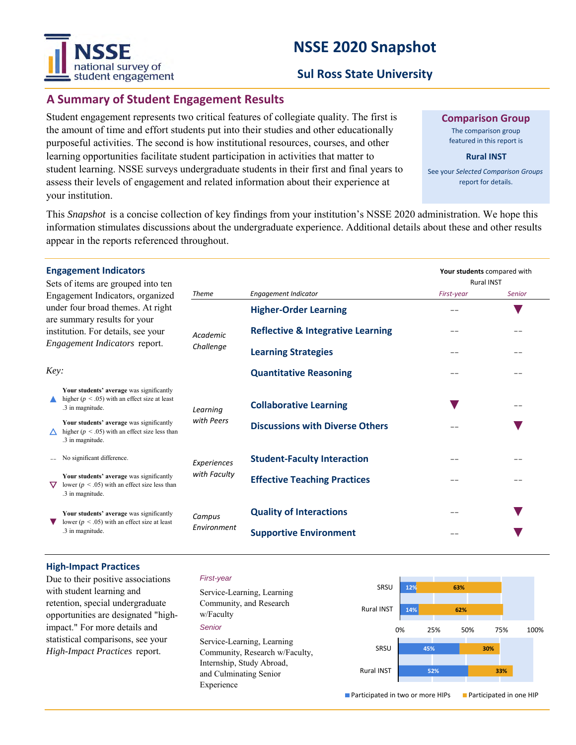# national survey of student engagement

# **NSSE 2020 Snapshot**

# **Sul Ross State University**

# **A Summary of Student Engagement Results**

Student engagement represents two critical features of collegiate quality. The first is the amount of time and effort students put into their studies and other educationally purposeful activities. The second is how institutional resources, courses, and other learning opportunities facilitate student participation in activities that matter to student learning. NSSE surveys undergraduate students in their first and final years to assess their levels of engagement and related information about their experience at your institution.

**Comparison Group**

The comparison group featured in this report is

**Rural INST**

See your *Selected Comparison Groups*  report for details.

**Your students** compared with

This *Snapshot* is a concise collection of key findings from your institution's NSSE 2020 administration. We hope this information stimulates discussions about the undergraduate experience. Additional details about these and other results appear in the reports referenced throughout.

#### **Engagement Indicators**

| institution. For details, see your |  |  |  |  |  |
|------------------------------------|--|--|--|--|--|
|                                    |  |  |  |  |  |
|                                    |  |  |  |  |  |

|                                                                                                                                                                                             | Sets of items are grouped into ten                                                                                 |                       |                                              | <b>Rural INST</b> |               |
|---------------------------------------------------------------------------------------------------------------------------------------------------------------------------------------------|--------------------------------------------------------------------------------------------------------------------|-----------------------|----------------------------------------------|-------------------|---------------|
| Engagement Indicators, organized<br>under four broad themes. At right<br>are summary results for your<br>institution. For details, see your<br><i>Engagement Indicators</i> report.<br>Key: |                                                                                                                    | <b>Theme</b>          | Engagement Indicator                         | First-year        | <b>Senior</b> |
|                                                                                                                                                                                             |                                                                                                                    | Academic<br>Challenge | <b>Higher-Order Learning</b>                 |                   |               |
|                                                                                                                                                                                             |                                                                                                                    |                       | <b>Reflective &amp; Integrative Learning</b> |                   |               |
|                                                                                                                                                                                             |                                                                                                                    |                       | <b>Learning Strategies</b>                   |                   |               |
|                                                                                                                                                                                             |                                                                                                                    |                       | <b>Quantitative Reasoning</b>                |                   |               |
|                                                                                                                                                                                             | Your students' average was significantly<br>higher ( $p < .05$ ) with an effect size at least<br>.3 in magnitude.  | Learning              | <b>Collaborative Learning</b>                |                   |               |
|                                                                                                                                                                                             | Your students' average was significantly<br>higher ( $p < .05$ ) with an effect size less than<br>.3 in magnitude. | with Peers            | <b>Discussions with Diverse Others</b>       |                   |               |
|                                                                                                                                                                                             | No significant difference.                                                                                         | Experiences           | <b>Student-Faculty Interaction</b>           |                   |               |
|                                                                                                                                                                                             | Your students' average was significantly<br>lower ( $p < .05$ ) with an effect size less than<br>.3 in magnitude.  | with Faculty          | <b>Effective Teaching Practices</b>          |                   |               |
|                                                                                                                                                                                             | Your students' average was significantly<br>lower ( $p < .05$ ) with an effect size at least<br>.3 in magnitude.   | Campus<br>Environment | <b>Quality of Interactions</b>               |                   |               |
|                                                                                                                                                                                             |                                                                                                                    |                       | <b>Supportive Environment</b>                |                   |               |

### **High-Impact Practices**

Due to their positive associations with student learning and retention, special undergraduate opportunities are designated "highimpact." For more details and statistical comparisons, see your *High-Impact Practices* report.

#### *First-year*

*Senior* Service-Learning, Learning Community, and Research w/Faculty Service-Learning, Learning Community, Research w/Faculty, Internship, Study Abroad, and Culminating Senior Experience



■ Participated in two or more HIPs ■ Participated in one HIP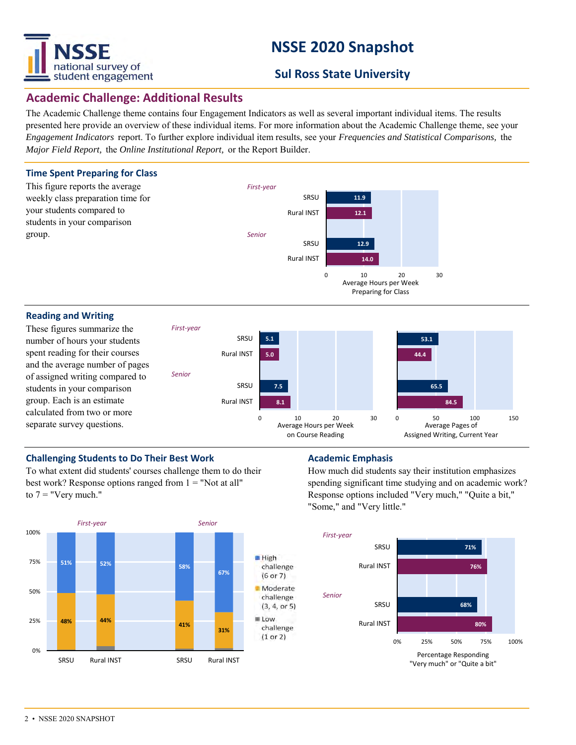

# **NSSE 2020 Snapshot**

# **Sul Ross State University**

## **Academic Challenge: Additional Results**

The Academic Challenge theme contains four Engagement Indicators as well as several important individual items. The results presented here provide an overview of these individual items. For more information about the Academic Challenge theme, see your *Engagement Indicators* report. To further explore individual item results, see your *Frequencies and Statistical Comparisons,* the *Major Field Report,* the *Online Institutional Report,* or the Report Builder.



0 10 20 30 Average Hours per Week on Course Reading 0 50 100 150 Average Pages of Assigned Writing, Current Year

number of hours your students spent reading for their courses and the average number of pages of assigned writing compared to students in your comparison group. Each is an estimate calculated from two or more separate survey questions.



To what extent did students' courses challenge them to do their best work? Response options ranged from  $1 =$  "Not at all" to  $7 =$  "Very much."



How much did students say their institution emphasizes spending significant time studying and on academic work? Response options included "Very much," "Quite a bit," "Some," and "Very little."

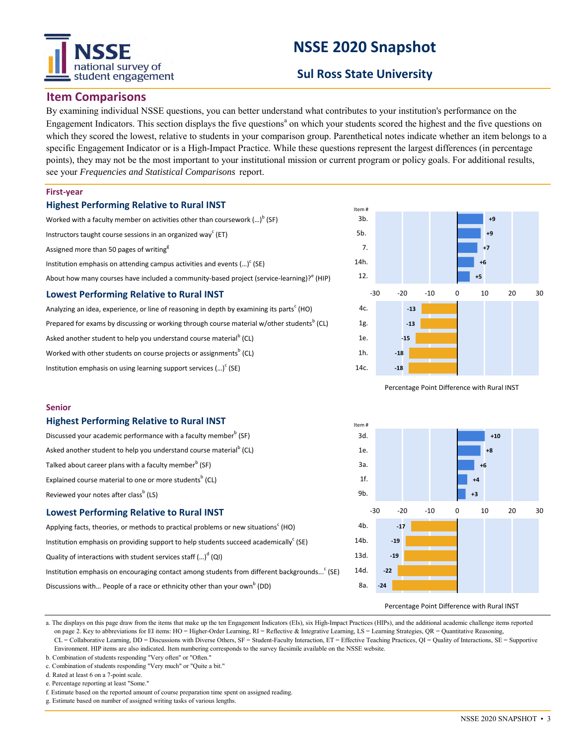

# **NSSE 2020 Snapshot**

# **Sul Ross State University**

## **Item Comparisons**

By examining individual NSSE questions, you can better understand what contributes to your institution's performance on the Engagement Indicators. This section displays the five questions<sup>a</sup> on which your students scored the highest and the five questions on which they scored the lowest, relative to students in your comparison group. Parenthetical notes indicate whether an item belongs to a specific Engagement Indicator or is a High-Impact Practice. While these questions represent the largest differences (in percentage points), they may not be the most important to your institutional mission or current program or policy goals. For additional results, see your *Frequencies and Statistical Comparisons* report.

#### **First-year**

**Senior**

#### **Highest Performing Relative to Rural INST**

### Worked with a faculty member on activities other than coursework  $\left( ...\right) ^{\mathsf{b}}$  (SF)

Instructors taught course sessions in an organized way<sup>c</sup> (ET)

Assigned more than 50 pages of writing<sup>g</sup>

Institution emphasis on attending campus activities and events  $(...)^c$  (SE)

About how many courses have included a community-based project (service-learning)?<sup>e</sup> (HIP)

### **Lowest Performing Relative to Rural INST**

Analyzing an idea, experience, or line of reasoning in depth by examining its parts<sup>c</sup> (HO) Prepared for exams by discussing or working through course material w/other students<sup>b</sup> (CL) Asked another student to help you understand course material<sup>b</sup> (CL) Worked with other students on course projects or assignments $^{\rm b}$  (CL)

Institution emphasis on using learning support services  $(\cdot \cdot \cdot)^c$  (SE)

**Highest Performing Relative to Rural INST**

Talked about career plans with a faculty member $^{\rm b}$  (SF) Explained course material to one or more students<sup>b</sup> (CL)

Reviewed your notes after class<sup>b</sup> (LS)



Percentage Point Difference with Rural INST





Applying facts, theories, or methods to practical problems or new situations<sup>c</sup> (HO) Institution emphasis on providing support to help students succeed academically<sup>c</sup> (SE) Quality of interactions with student services staff (...)<sup>d</sup> (QI) Institution emphasis on encouraging contact among students from different backgrounds...<sup>c</sup> (SE) Discussions with... People of a race or ethnicity other than your own<sup>b</sup> (DD)



Percentage Point Difference with Rural INST

a. The displays on this page draw from the items that make up the ten Engagement Indicators (EIs), six High-Impact Practices (HIPs), and the additional academic challenge items reported on page 2. Key to abbreviations for EI items: HO = Higher-Order Learning, RI = Reflective & Integrative Learning, LS = Learning Strategies, QR = Quantitative Reasoning, CL = Collaborative Learning, DD = Discussions with Diverse Others, SF = Student-Faculty Interaction, ET = Effective Teaching Practices, QI = Quality of Interactions, SE = Supportive Environment. HIP items are also indicated. Item numbering corresponds to the survey facsimile available on the NSSE website.

- b. Combination of students responding "Very often" or "Often."
- c. Combination of students responding "Very much" or "Quite a bit."

d. Rated at least 6 on a 7-point scale.

e. Percentage reporting at least "Some."

```
f. Estimate based on the reported amount of course preparation time spent on assigned reading.
```
g. Estimate based on number of assigned writing tasks of various lengths.